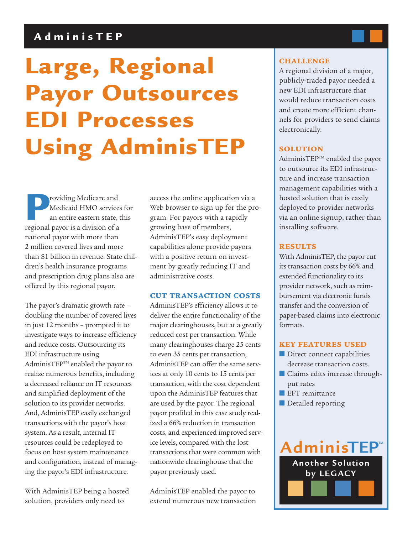# **AdminisTEP**

# **Large, Regional Payor Outsources EDI Processes Using AdminisTEP**

**Providing Medicare and Medicaid HMO service an entire eastern state, regional payor is a division of a** Medicaid HMO services for an entire eastern state, this national payor with more than 2 million covered lives and more than \$1 billion in revenue. State children's health insurance programs and prescription drug plans also are offered by this regional payor.

The payor's dramatic growth rate – doubling the number of covered lives in just 12 months – prompted it to investigate ways to increase efficiency and reduce costs. Outsourcing its EDI infrastructure using AdminisTEP™ enabled the payor to realize numerous benefits, including a decreased reliance on IT resources and simplified deployment of the solution to its provider networks. And, AdminisTEP easily exchanged transactions with the payor's host system. As a result, internal IT resources could be redeployed to focus on host system maintenance and configuration, instead of managing the payor's EDI infrastructure.

With AdminisTEP being a hosted solution, providers only need to

access the online application via a Web browser to sign up for the program. For payors with a rapidly growing base of members, AdminisTEP's easy deployment capabilities alone provide payors with a positive return on investment by greatly reducing IT and administrative costs.

#### **CUT TRANSACTION COSTS**

AdminisTEP's efficiency allows it to deliver the entire functionality of the major clearinghouses, but at a greatly reduced cost per transaction. While many clearinghouses charge 25 cents to even 35 cents per transaction, AdminisTEP can offer the same services at only 10 cents to 15 cents per transaction, with the cost dependent upon the AdminisTEP features that are used by the payor. The regional payor profiled in this case study realized a 66% reduction in transaction costs, and experienced improved service levels, compared with the lost transactions that were common with nationwide clearinghouse that the payor previously used.

AdminisTEP enabled the payor to extend numerous new transaction

### **CHALLENGE**

A regional division of a major, publicly-traded payor needed a new EDI infrastructure that would reduce transaction costs and create more efficient channels for providers to send claims electronically.

# **SOLUTION**

AdminisTEP™ enabled the payor to outsource its EDI infrastructure and increase transaction management capabilities with a hosted solution that is easily deployed to provider networks via an online signup, rather than installing software.

#### **RESULTS**

With AdminisTEP, the payor cut its transaction costs by 66% and extended functionality to its provider network, such as reimbursement via electronic funds transfer and the conversion of paper-based claims into electronic formats.

## **KEY FEATURES USED**

- Direct connect capabilities decrease transaction costs.
- Claims edits increase throughput rates
- EFT remittance
- Detailed reporting